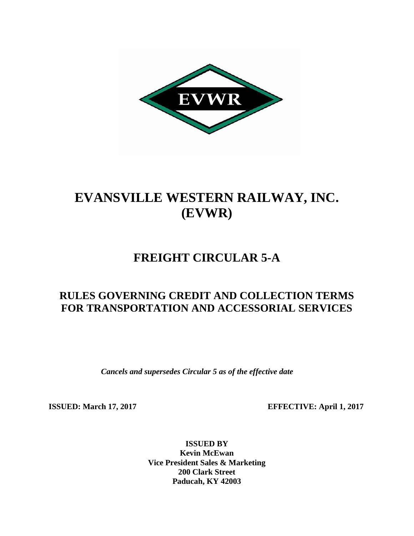

# **EVANSVILLE WESTERN RAILWAY, INC. (EVWR)**

## **FREIGHT CIRCULAR 5-A**

### **RULES GOVERNING CREDIT AND COLLECTION TERMS FOR TRANSPORTATION AND ACCESSORIAL SERVICES**

*Cancels and supersedes Circular 5 as of the effective date*

**ISSUED:** March 17, 2017 **EFFECTIVE:** April 1, 2017

**ISSUED BY Kevin McEwan Vice President Sales & Marketing 200 Clark Street Paducah, KY 42003**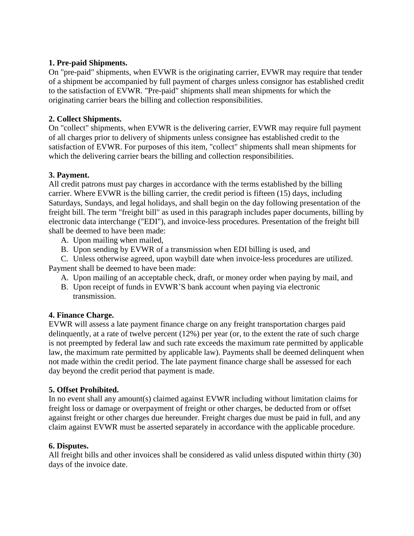#### **1. Pre-paid Shipments.**

On "pre-paid" shipments, when EVWR is the originating carrier, EVWR may require that tender of a shipment be accompanied by full payment of charges unless consignor has established credit to the satisfaction of EVWR. "Pre-paid" shipments shall mean shipments for which the originating carrier bears the billing and collection responsibilities.

#### **2. Collect Shipments.**

On "collect" shipments, when EVWR is the delivering carrier, EVWR may require full payment of all charges prior to delivery of shipments unless consignee has established credit to the satisfaction of EVWR. For purposes of this item, "collect" shipments shall mean shipments for which the delivering carrier bears the billing and collection responsibilities.

#### **3. Payment.**

All credit patrons must pay charges in accordance with the terms established by the billing carrier. Where EVWR is the billing carrier, the credit period is fifteen (15) days, including Saturdays, Sundays, and legal holidays, and shall begin on the day following presentation of the freight bill. The term "freight bill" as used in this paragraph includes paper documents, billing by electronic data interchange ("EDI"), and invoice-less procedures. Presentation of the freight bill shall be deemed to have been made:

- A. Upon mailing when mailed,
- B. Upon sending by EVWR of a transmission when EDI billing is used, and

C. Unless otherwise agreed, upon waybill date when invoice-less procedures are utilized. Payment shall be deemed to have been made:

- A. Upon mailing of an acceptable check, draft, or money order when paying by mail, and
- B. Upon receipt of funds in EVWR'S bank account when paying via electronic transmission.

#### **4. Finance Charge.**

EVWR will assess a late payment finance charge on any freight transportation charges paid delinquently, at a rate of twelve percent (12%) per year (or, to the extent the rate of such charge is not preempted by federal law and such rate exceeds the maximum rate permitted by applicable law, the maximum rate permitted by applicable law). Payments shall be deemed delinquent when not made within the credit period. The late payment finance charge shall be assessed for each day beyond the credit period that payment is made.

#### **5. Offset Prohibited.**

In no event shall any amount(s) claimed against EVWR including without limitation claims for freight loss or damage or overpayment of freight or other charges, be deducted from or offset against freight or other charges due hereunder. Freight charges due must be paid in full, and any claim against EVWR must be asserted separately in accordance with the applicable procedure.

#### **6. Disputes.**

All freight bills and other invoices shall be considered as valid unless disputed within thirty (30) days of the invoice date.